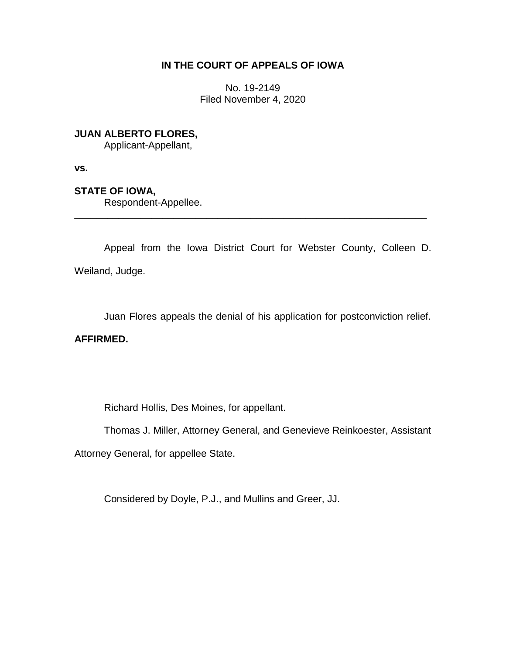## **IN THE COURT OF APPEALS OF IOWA**

No. 19-2149 Filed November 4, 2020

**JUAN ALBERTO FLORES,**

Applicant-Appellant,

**vs.**

**STATE OF IOWA,**

Respondent-Appellee.

Appeal from the Iowa District Court for Webster County, Colleen D. Weiland, Judge.

\_\_\_\_\_\_\_\_\_\_\_\_\_\_\_\_\_\_\_\_\_\_\_\_\_\_\_\_\_\_\_\_\_\_\_\_\_\_\_\_\_\_\_\_\_\_\_\_\_\_\_\_\_\_\_\_\_\_\_\_\_\_\_\_

Juan Flores appeals the denial of his application for postconviction relief.

**AFFIRMED.**

Richard Hollis, Des Moines, for appellant.

Thomas J. Miller, Attorney General, and Genevieve Reinkoester, Assistant

Attorney General, for appellee State.

Considered by Doyle, P.J., and Mullins and Greer, JJ.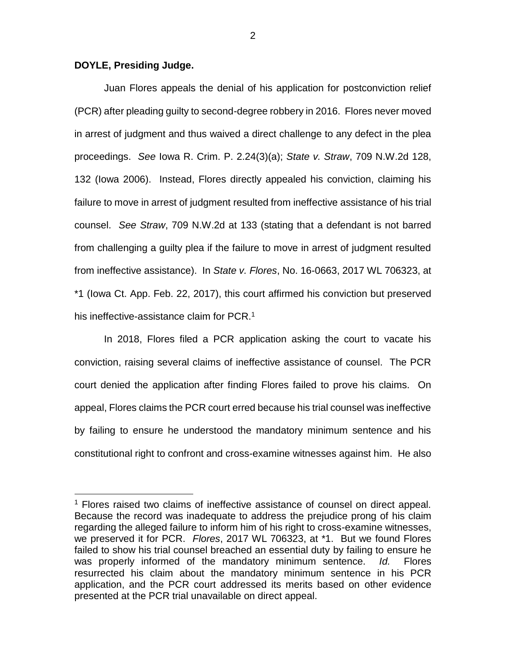## **DOYLE, Presiding Judge.**

 $\overline{a}$ 

Juan Flores appeals the denial of his application for postconviction relief (PCR) after pleading guilty to second-degree robbery in 2016. Flores never moved in arrest of judgment and thus waived a direct challenge to any defect in the plea proceedings. *See* Iowa R. Crim. P. 2.24(3)(a); *State v. Straw*, 709 N.W.2d 128, 132 (Iowa 2006). Instead, Flores directly appealed his conviction, claiming his failure to move in arrest of judgment resulted from ineffective assistance of his trial counsel. *See Straw*, 709 N.W.2d at 133 (stating that a defendant is not barred from challenging a guilty plea if the failure to move in arrest of judgment resulted from ineffective assistance). In *State v. Flores*, No. 16-0663, 2017 WL 706323, at \*1 (Iowa Ct. App. Feb. 22, 2017), this court affirmed his conviction but preserved his ineffective-assistance claim for PCR.<sup>1</sup>

In 2018, Flores filed a PCR application asking the court to vacate his conviction, raising several claims of ineffective assistance of counsel. The PCR court denied the application after finding Flores failed to prove his claims. On appeal, Flores claims the PCR court erred because his trial counsel was ineffective by failing to ensure he understood the mandatory minimum sentence and his constitutional right to confront and cross-examine witnesses against him. He also

<sup>&</sup>lt;sup>1</sup> Flores raised two claims of ineffective assistance of counsel on direct appeal. Because the record was inadequate to address the prejudice prong of his claim regarding the alleged failure to inform him of his right to cross-examine witnesses, we preserved it for PCR. *Flores*, 2017 WL 706323, at \*1. But we found Flores failed to show his trial counsel breached an essential duty by failing to ensure he was properly informed of the mandatory minimum sentence. *Id.* Flores resurrected his claim about the mandatory minimum sentence in his PCR application, and the PCR court addressed its merits based on other evidence presented at the PCR trial unavailable on direct appeal.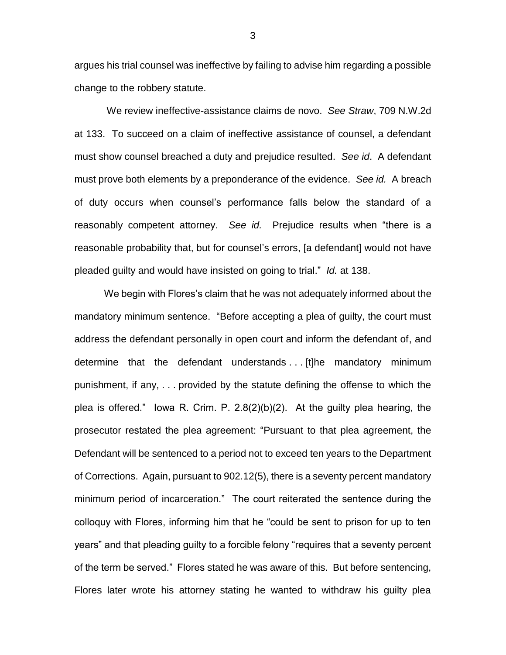argues his trial counsel was ineffective by failing to advise him regarding a possible change to the robbery statute.

We review ineffective-assistance claims de novo. *See Straw*, 709 N.W.2d at 133. To succeed on a claim of ineffective assistance of counsel, a defendant must show counsel breached a duty and prejudice resulted. *See id*. A defendant must prove both elements by a preponderance of the evidence. *See id.* A breach of duty occurs when counsel's performance falls below the standard of a reasonably competent attorney. *See id.* Prejudice results when "there is a reasonable probability that, but for counsel's errors, [a defendant] would not have pleaded guilty and would have insisted on going to trial." *Id.* at 138.

We begin with Flores's claim that he was not adequately informed about the mandatory minimum sentence. "Before accepting a plea of guilty, the court must address the defendant personally in open court and inform the defendant of, and determine that the defendant understands . . . [t]he mandatory minimum punishment, if any, . . . provided by the statute defining the offense to which the plea is offered." Iowa R. Crim. P. 2.8(2)(b)(2). At the guilty plea hearing, the prosecutor restated the plea agreement: "Pursuant to that plea agreement, the Defendant will be sentenced to a period not to exceed ten years to the Department of Corrections. Again, pursuant to 902.12(5), there is a seventy percent mandatory minimum period of incarceration." The court reiterated the sentence during the colloquy with Flores, informing him that he "could be sent to prison for up to ten years" and that pleading guilty to a forcible felony "requires that a seventy percent of the term be served." Flores stated he was aware of this. But before sentencing, Flores later wrote his attorney stating he wanted to withdraw his guilty plea

3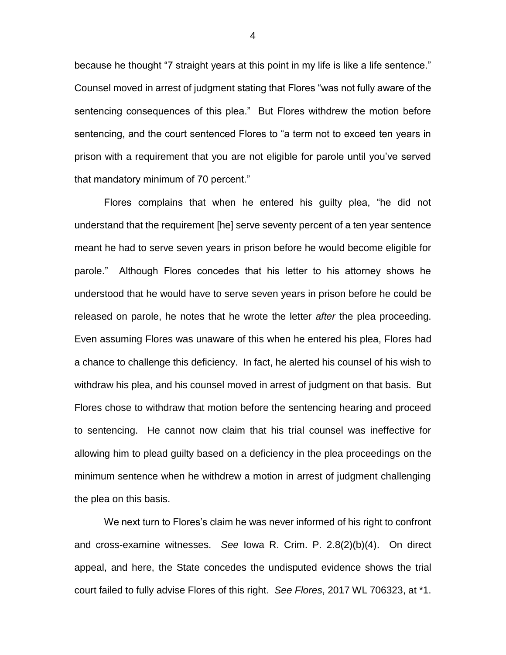because he thought "7 straight years at this point in my life is like a life sentence." Counsel moved in arrest of judgment stating that Flores "was not fully aware of the sentencing consequences of this plea." But Flores withdrew the motion before sentencing, and the court sentenced Flores to "a term not to exceed ten years in prison with a requirement that you are not eligible for parole until you've served that mandatory minimum of 70 percent."

Flores complains that when he entered his guilty plea, "he did not understand that the requirement [he] serve seventy percent of a ten year sentence meant he had to serve seven years in prison before he would become eligible for parole." Although Flores concedes that his letter to his attorney shows he understood that he would have to serve seven years in prison before he could be released on parole, he notes that he wrote the letter *after* the plea proceeding. Even assuming Flores was unaware of this when he entered his plea, Flores had a chance to challenge this deficiency. In fact, he alerted his counsel of his wish to withdraw his plea, and his counsel moved in arrest of judgment on that basis. But Flores chose to withdraw that motion before the sentencing hearing and proceed to sentencing. He cannot now claim that his trial counsel was ineffective for allowing him to plead guilty based on a deficiency in the plea proceedings on the minimum sentence when he withdrew a motion in arrest of judgment challenging the plea on this basis.

We next turn to Flores's claim he was never informed of his right to confront and cross-examine witnesses. *See* Iowa R. Crim. P. 2.8(2)(b)(4). On direct appeal, and here, the State concedes the undisputed evidence shows the trial court failed to fully advise Flores of this right. *See Flores*, 2017 WL 706323, at \*1.

4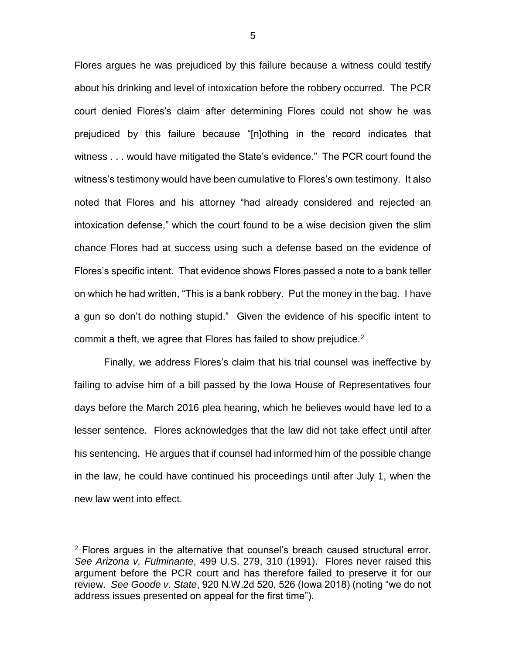Flores argues he was prejudiced by this failure because a witness could testify about his drinking and level of intoxication before the robbery occurred. The PCR court denied Flores's claim after determining Flores could not show he was prejudiced by this failure because "[n]othing in the record indicates that witness . . . would have mitigated the State's evidence." The PCR court found the witness's testimony would have been cumulative to Flores's own testimony. It also noted that Flores and his attorney "had already considered and rejected an intoxication defense," which the court found to be a wise decision given the slim chance Flores had at success using such a defense based on the evidence of Flores's specific intent. That evidence shows Flores passed a note to a bank teller on which he had written, "This is a bank robbery. Put the money in the bag. I have a gun so don't do nothing stupid." Given the evidence of his specific intent to commit a theft, we agree that Flores has failed to show prejudice.<sup>2</sup>

Finally, we address Flores's claim that his trial counsel was ineffective by failing to advise him of a bill passed by the Iowa House of Representatives four days before the March 2016 plea hearing, which he believes would have led to a lesser sentence. Flores acknowledges that the law did not take effect until after his sentencing. He argues that if counsel had informed him of the possible change in the law, he could have continued his proceedings until after July 1, when the new law went into effect.

 $\overline{a}$ 

 $2$  Flores argues in the alternative that counsel's breach caused structural error. *See Arizona v. Fulminante*, 499 U.S. 279, 310 (1991). Flores never raised this argument before the PCR court and has therefore failed to preserve it for our review. *See Goode v. State*, 920 N.W.2d 520, 526 (Iowa 2018) (noting "we do not address issues presented on appeal for the first time").